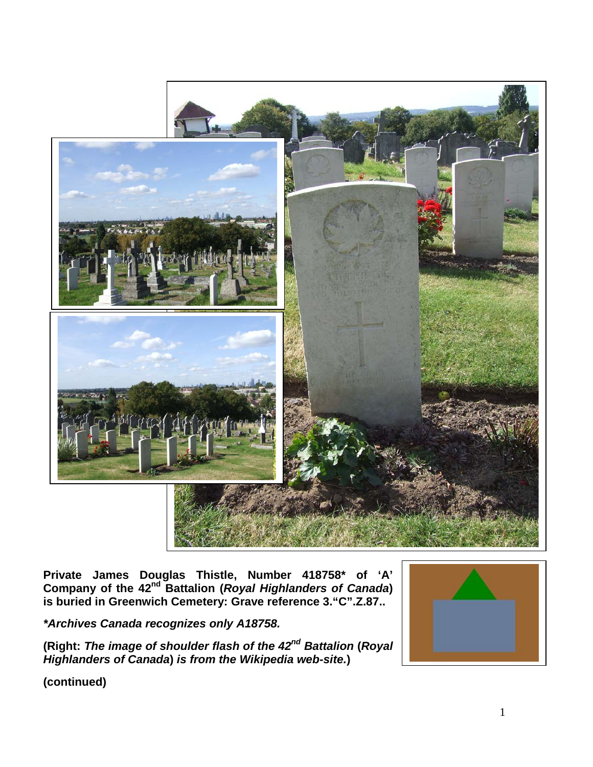

**Private James Douglas Thistle, Number 418758\* of 'A' Company of the 42nd Battalion (***Royal Highlanders of Canada***) is buried in Greenwich Cemetery: Grave reference 3."C".Z.87..**

*\*Archives Canada recognizes only A18758.*

**(Right:** *The image of shoulder flash of the 42nd Battalion* **(***Royal Highlanders of Canada***)** *is from the Wikipedia web-site.***)**



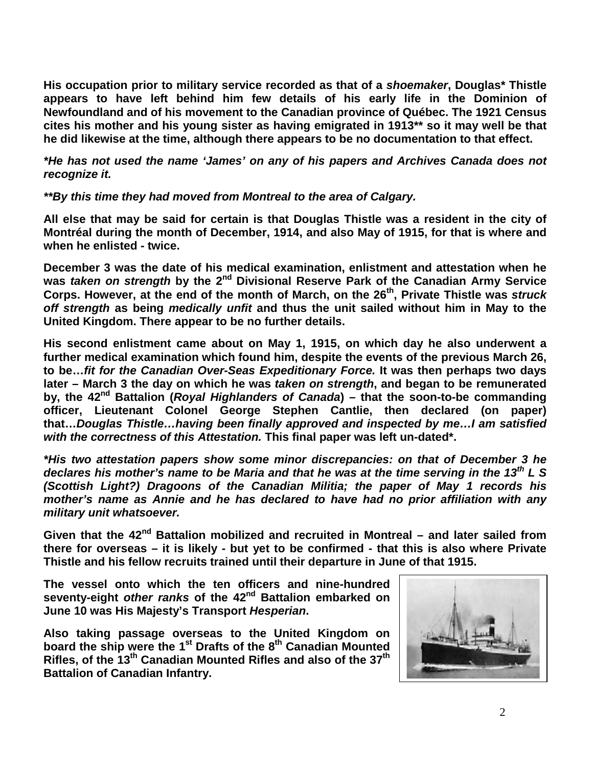**His occupation prior to military service recorded as that of a** *shoemaker***, Douglas\* Thistle appears to have left behind him few details of his early life in the Dominion of Newfoundland and of his movement to the Canadian province of Québec. The 1921 Census cites his mother and his young sister as having emigrated in 1913\*\* so it may well be that he did likewise at the time, although there appears to be no documentation to that effect.**

*\*He has not used the name 'James' on any of his papers and Archives Canada does not recognize it.*

*\*\*By this time they had moved from Montreal to the area of Calgary.*

**All else that may be said for certain is that Douglas Thistle was a resident in the city of Montréal during the month of December, 1914, and also May of 1915, for that is where and when he enlisted - twice.**

**December 3 was the date of his medical examination, enlistment and attestation when he was** *taken on strength* **by the 2nd Divisional Reserve Park of the Canadian Army Service Corps. However, at the end of the month of March, on the 26th, Private Thistle was** *struck off strength* **as being** *medically unfit* **and thus the unit sailed without him in May to the United Kingdom. There appear to be no further details.**

**His second enlistment came about on May 1, 1915, on which day he also underwent a further medical examination which found him, despite the events of the previous March 26, to be…***fit for the Canadian Over-Seas Expeditionary Force.* **It was then perhaps two days later – March 3 the day on which he was** *taken on strength***, and began to be remunerated by, the 42nd Battalion (***Royal Highlanders of Canada***) – that the soon-to-be commanding officer, Lieutenant Colonel George Stephen Cantlie, then declared (on paper) that…***Douglas Thistle…having been finally approved and inspected by me…I am satisfied with the correctness of this Attestation.* **This final paper was left un-dated\*.**

*\*His two attestation papers show some minor discrepancies: on that of December 3 he declares his mother's name to be Maria and that he was at the time serving in the 13th L S (Scottish Light?) Dragoons of the Canadian Militia; the paper of May 1 records his mother's name as Annie and he has declared to have had no prior affiliation with any military unit whatsoever.*

**Given that the 42nd Battalion mobilized and recruited in Montreal – and later sailed from there for overseas – it is likely - but yet to be confirmed - that this is also where Private Thistle and his fellow recruits trained until their departure in June of that 1915.**

**The vessel onto which the ten officers and nine-hundred seventy-eight** *other ranks* **of the 42nd Battalion embarked on June 10 was His Majesty's Transport** *Hesperian***.** 

**Also taking passage overseas to the United Kingdom on board the ship were the 1st Drafts of the 8th Canadian Mounted Rifles, of the 13th Canadian Mounted Rifles and also of the 37th Battalion of Canadian Infantry.** 

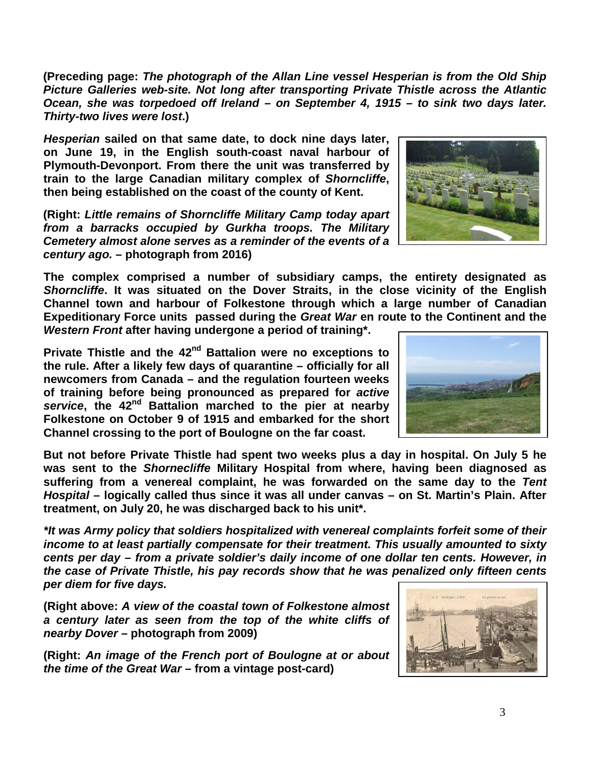3

**(Preceding page:** *The photograph of the Allan Line vessel Hesperian is from the Old Ship Picture Galleries web-site. Not long after transporting Private Thistle across the Atlantic Ocean, she was torpedoed off Ireland – on September 4, 1915 – to sink two days later. Thirty-two lives were lost***.)**

*Hesperian* **sailed on that same date, to dock nine days later, on June 19, in the English south-coast naval harbour of Plymouth-Devonport. From there the unit was transferred by train to the large Canadian military complex of** *Shorncliffe***, then being established on the coast of the county of Kent.**

**(Right:** *Little remains of Shorncliffe Military Camp today apart from a barracks occupied by Gurkha troops. The Military Cemetery almost alone serves as a reminder of the events of a century ago.* **– photograph from 2016)**

**The complex comprised a number of subsidiary camps, the entirety designated as**  *Shorncliffe***. It was situated on the Dover Straits, in the close vicinity of the English Channel town and harbour of Folkestone through which a large number of Canadian Expeditionary Force units passed during the** *Great War* **en route to the Continent and the**  *Western Front* **after having undergone a period of training\*.**

**Private Thistle and the 42nd Battalion were no exceptions to the rule. After a likely few days of quarantine – officially for all newcomers from Canada – and the regulation fourteen weeks of training before being pronounced as prepared for** *active service***, the 42nd Battalion marched to the pier at nearby Folkestone on October 9 of 1915 and embarked for the short Channel crossing to the port of Boulogne on the far coast.**

**But not before Private Thistle had spent two weeks plus a day in hospital. On July 5 he was sent to the** *Shornecliffe* **Military Hospital from where, having been diagnosed as suffering from a venereal complaint, he was forwarded on the same day to the** *Tent Hospital* **– logically called thus since it was all under canvas – on St. Martin's Plain. After treatment, on July 20, he was discharged back to his unit\*.**

*\*It was Army policy that soldiers hospitalized with venereal complaints forfeit some of their income to at least partially compensate for their treatment. This usually amounted to sixty cents per day – from a private soldier's daily income of one dollar ten cents. However, in the case of Private Thistle, his pay records show that he was penalized only fifteen cents per diem for five days.*

**(Right above:** *A view of the coastal town of Folkestone almost a century later as seen from the top of the white cliffs of nearby Dover* **– photograph from 2009)**

**(Right:** *An image of the French port of Boulogne at or about the time of the Great War* **– from a vintage post-card)**





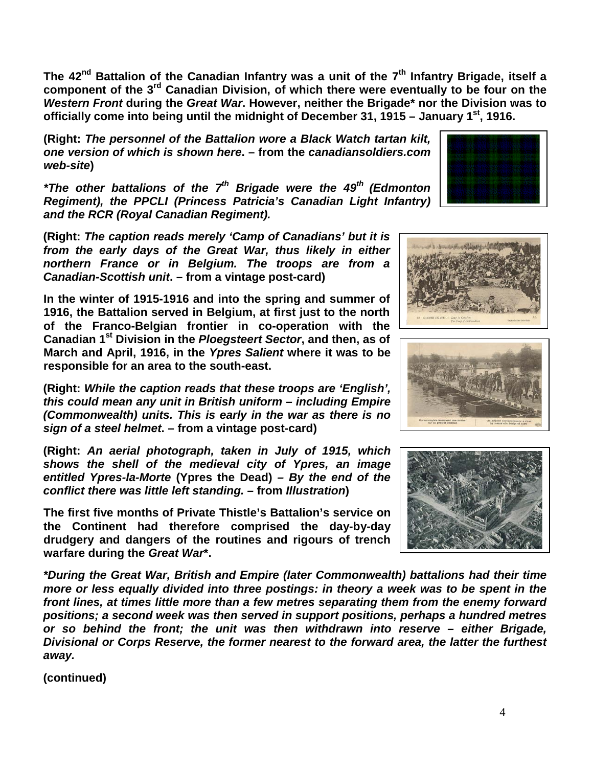**The 42nd Battalion of the Canadian Infantry was a unit of the 7th Infantry Brigade, itself a component of the 3rd Canadian Division, of which there were eventually to be four on the**  *Western Front* **during the** *Great War***. However, neither the Brigade\* nor the Division was to officially come into being until the midnight of December 31, 1915 – January 1st, 1916.**

**(Right:** *The personnel of the Battalion wore a Black Watch tartan kilt, one version of which is shown here***. – from the** *canadiansoldiers.com web-site***)**

*\*The other battalions of the 7<sup>th</sup> Brigade were the 49<sup>th</sup> (Edmonton Regiment), the PPCLI (Princess Patricia's Canadian Light Infantry) and the RCR (Royal Canadian Regiment).*

**(Right:** *The caption reads merely 'Camp of Canadians' but it is from the early days of the Great War, thus likely in either northern France or in Belgium. The troops are from a Canadian-Scottish unit***. – from a vintage post-card)**

**In the winter of 1915-1916 and into the spring and summer of 1916, the Battalion served in Belgium, at first just to the north of the Franco-Belgian frontier in co-operation with the Canadian 1st Division in the** *Ploegsteert Sector***, and then, as of March and April, 1916, in the** *Ypres Salient* **where it was to be responsible for an area to the south-east.** 

**(Right:** *While the caption reads that these troops are 'English', this could mean any unit in British uniform – including Empire (Commonwealth) units. This is early in the war as there is no sign of a steel helmet***. – from a vintage post-card)**

**(Right:** *An aerial photograph, taken in July of 1915, which shows the shell of the medieval city of Ypres, an image entitled Ypres-la-Morte* **(Ypres the Dead)** *– By the end of the conflict there was little left standing. –* **from** *Illustration***)**

**The first five months of Private Thistle's Battalion's service on the Continent had therefore comprised the day-by-day drudgery and dangers of the routines and rigours of trench warfare during the** *Great War***\*.** 

*\*During the Great War, British and Empire (later Commonwealth) battalions had their time more or less equally divided into three postings: in theory a week was to be spent in the front lines, at times little more than a few metres separating them from the enemy forward positions; a second week was then served in support positions, perhaps a hundred metres or so behind the front; the unit was then withdrawn into reserve – either Brigade, Divisional or Corps Reserve, the former nearest to the forward area, the latter the furthest away.*

**(continued)**







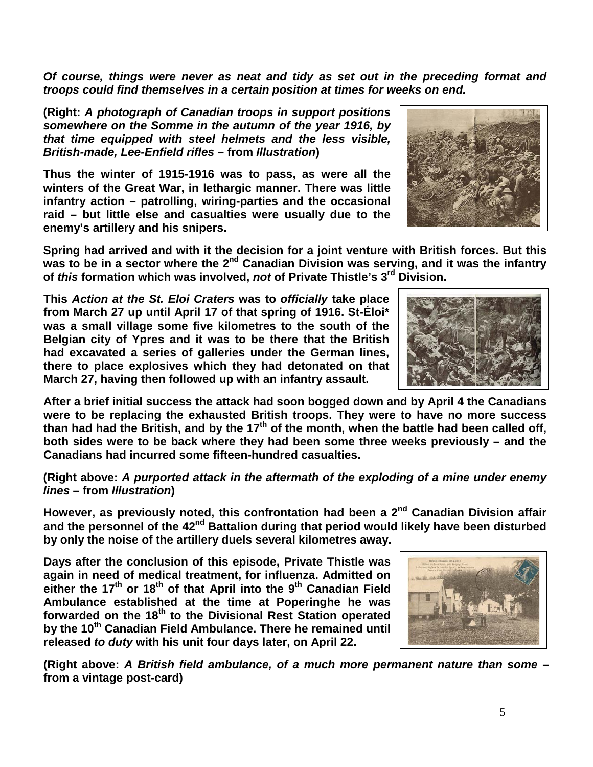5

*Of course, things were never as neat and tidy as set out in the preceding format and troops could find themselves in a certain position at times for weeks on end.*

**(Right:** *A photograph of Canadian troops in support positions somewhere on the Somme in the autumn of the year 1916, by that time equipped with steel helmets and the less visible, British-made, Lee-Enfield rifles* **– from** *Illustration***)**

**Thus the winter of 1915-1916 was to pass, as were all the winters of the Great War, in lethargic manner. There was little infantry action – patrolling, wiring-parties and the occasional raid – but little else and casualties were usually due to the enemy's artillery and his snipers.**

**Spring had arrived and with it the decision for a joint venture with British forces. But this**  was to be in a sector where the 2<sup>nd</sup> Canadian Division was serving, and it was the infantry **of** *this* **formation which was involved,** *not* **of Private Thistle's 3rd Division.**

**This** *Action at the St. Eloi Craters* **was to** *officially* **take place from March 27 up until April 17 of that spring of 1916. St-Éloi\* was a small village some five kilometres to the south of the Belgian city of Ypres and it was to be there that the British had excavated a series of galleries under the German lines, there to place explosives which they had detonated on that March 27, having then followed up with an infantry assault.** 

**After a brief initial success the attack had soon bogged down and by April 4 the Canadians were to be replacing the exhausted British troops. They were to have no more success than had had the British, and by the 17th of the month, when the battle had been called off, both sides were to be back where they had been some three weeks previously – and the Canadians had incurred some fifteen-hundred casualties.**

**(Right above:** *A purported attack in the aftermath of the exploding of a mine under enemy lines* **– from** *Illustration***)**

**However, as previously noted, this confrontation had been a 2nd Canadian Division affair**  and the personnel of the 42<sup>nd</sup> Battalion during that period would likely have been disturbed **by only the noise of the artillery duels several kilometres away.**

**Days after the conclusion of this episode, Private Thistle was again in need of medical treatment, for influenza. Admitted on**  either the 17<sup>th</sup> or 18<sup>th</sup> of that April into the 9<sup>th</sup> Canadian Field **Ambulance established at the time at Poperinghe he was forwarded on the 18th to the Divisional Rest Station operated by the 10th Canadian Field Ambulance. There he remained until released** *to duty* **with his unit four days later, on April 22.**

**(Right above:** *A British field ambulance, of a much more permanent nature than some* **– from a vintage post-card)**





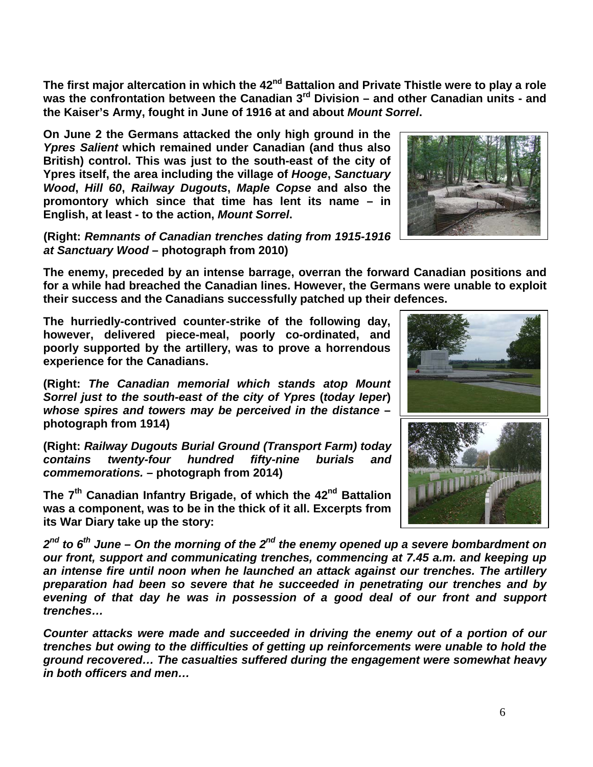6

**The first major altercation in which the 42nd Battalion and Private Thistle were to play a role was the confrontation between the Canadian 3rd Division – and other Canadian units - and the Kaiser's Army, fought in June of 1916 at and about** *Mount Sorrel***.**

**On June 2 the Germans attacked the only high ground in the**  *Ypres Salient* **which remained under Canadian (and thus also British) control. This was just to the south-east of the city of Ypres itself, the area including the village of** *Hooge***,** *Sanctuary Wood***,** *Hill 60***,** *Railway Dugouts***,** *Maple Copse* **and also the promontory which since that time has lent its name – in English, at least - to the action,** *Mount Sorrel***.**

**(Right:** *Remnants of Canadian trenches dating from 1915-1916 at Sanctuary Wood* **– photograph from 2010)**

**The enemy, preceded by an intense barrage, overran the forward Canadian positions and for a while had breached the Canadian lines. However, the Germans were unable to exploit their success and the Canadians successfully patched up their defences.**

**The hurriedly-contrived counter-strike of the following day, however, delivered piece-meal, poorly co-ordinated, and poorly supported by the artillery, was to prove a horrendous experience for the Canadians.**

**(Right:** *The Canadian memorial which stands atop Mount Sorrel just to the south-east of the city of Ypres* **(***today Ieper***)** *whose spires and towers may be perceived in the distance* **– photograph from 1914)**

**(Right:** *Railway Dugouts Burial Ground (Transport Farm) today contains twenty-four hundred fifty-nine burials and commemorations.* **– photograph from 2014)**

**The 7th Canadian Infantry Brigade, of which the 42nd Battalion was a component, was to be in the thick of it all. Excerpts from its War Diary take up the story:**

*2nd to 6th June – On the morning of the 2nd the enemy opened up a severe bombardment on our front, support and communicating trenches, commencing at 7.45 a.m. and keeping up an intense fire until noon when he launched an attack against our trenches. The artillery preparation had been so severe that he succeeded in penetrating our trenches and by evening of that day he was in possession of a good deal of our front and support trenches…*

*Counter attacks were made and succeeded in driving the enemy out of a portion of our trenches but owing to the difficulties of getting up reinforcements were unable to hold the ground recovered… The casualties suffered during the engagement were somewhat heavy in both officers and men…*



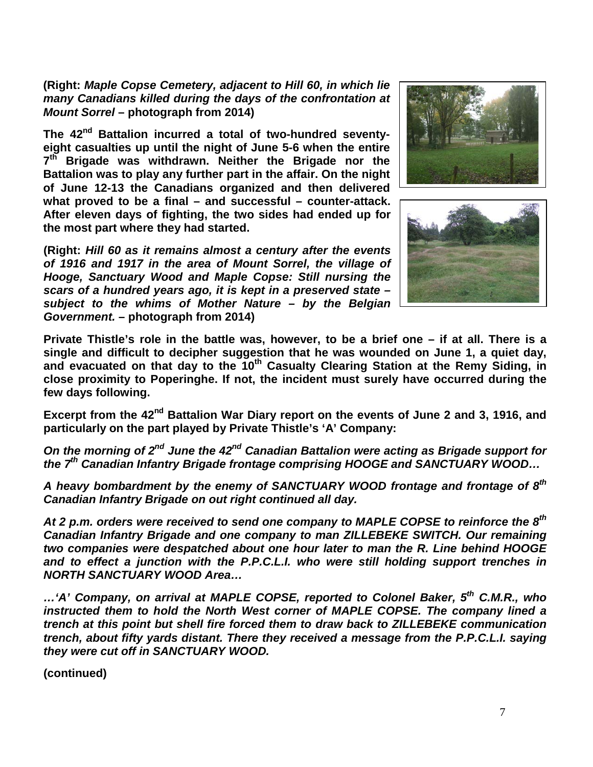**(Right:** *Maple Copse Cemetery, adjacent to Hill 60, in which lie many Canadians killed during the days of the confrontation at Mount Sorrel* **– photograph from 2014)**

The 42<sup>nd</sup> Battalion incurred a total of two-hundred seventy**eight casualties up until the night of June 5-6 when the entire 7th Brigade was withdrawn. Neither the Brigade nor the Battalion was to play any further part in the affair. On the night of June 12-13 the Canadians organized and then delivered what proved to be a final – and successful – counter-attack. After eleven days of fighting, the two sides had ended up for the most part where they had started.** 

**(Right:** *Hill 60 as it remains almost a century after the events of 1916 and 1917 in the area of Mount Sorrel, the village of Hooge, Sanctuary Wood and Maple Copse: Still nursing the scars of a hundred years ago, it is kept in a preserved state – subject to the whims of Mother Nature – by the Belgian Government.* **– photograph from 2014)**





**Private Thistle's role in the battle was, however, to be a brief one – if at all. There is a single and difficult to decipher suggestion that he was wounded on June 1, a quiet day, and evacuated on that day to the 10th Casualty Clearing Station at the Remy Siding, in close proximity to Poperinghe. If not, the incident must surely have occurred during the few days following.**

**Excerpt from the 42nd Battalion War Diary report on the events of June 2 and 3, 1916, and particularly on the part played by Private Thistle's 'A' Company:** 

*On the morning of 2nd June the 42nd Canadian Battalion were acting as Brigade support for the 7th Canadian Infantry Brigade frontage comprising HOOGE and SANCTUARY WOOD…*

*A heavy bombardment by the enemy of SANCTUARY WOOD frontage and frontage of 8th Canadian Infantry Brigade on out right continued all day.*

*At 2 p.m. orders were received to send one company to MAPLE COPSE to reinforce the 8th Canadian Infantry Brigade and one company to man ZILLEBEKE SWITCH. Our remaining two companies were despatched about one hour later to man the R. Line behind HOOGE and to effect a junction with the P.P.C.L.I. who were still holding support trenches in NORTH SANCTUARY WOOD Area…*

*…'A' Company, on arrival at MAPLE COPSE, reported to Colonel Baker, 5th C.M.R., who*  instructed them to hold the North West corner of MAPLE COPSE. The company lined a *trench at this point but shell fire forced them to draw back to ZILLEBEKE communication trench, about fifty yards distant. There they received a message from the P.P.C.L.I. saying they were cut off in SANCTUARY WOOD.* 

**(continued)**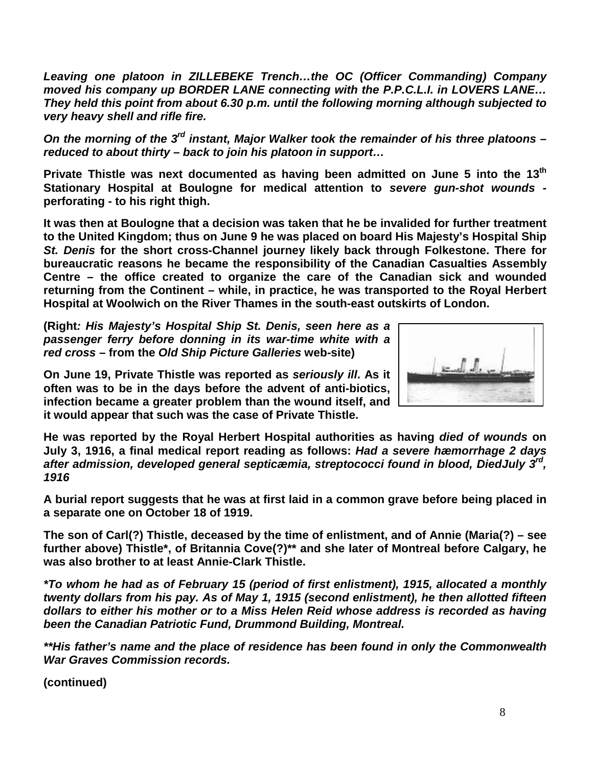*Leaving one platoon in ZILLEBEKE Trench…the OC (Officer Commanding) Company moved his company up BORDER LANE connecting with the P.P.C.L.I. in LOVERS LANE… They held this point from about 6.30 p.m. until the following morning although subjected to very heavy shell and rifle fire.* 

*On the morning of the 3rd instant, Major Walker took the remainder of his three platoons – reduced to about thirty – back to join his platoon in support…*

**Private Thistle was next documented as having been admitted on June 5 into the 13th Stationary Hospital at Boulogne for medical attention to** *severe gun-shot wounds*  **perforating - to his right thigh.**

**It was then at Boulogne that a decision was taken that he be invalided for further treatment to the United Kingdom; thus on June 9 he was placed on board His Majesty's Hospital Ship**  *St. Denis* **for the short cross-Channel journey likely back through Folkestone. There for bureaucratic reasons he became the responsibility of the Canadian Casualties Assembly Centre – the office created to organize the care of the Canadian sick and wounded returning from the Continent – while, in practice, he was transported to the Royal Herbert Hospital at Woolwich on the River Thames in the south-east outskirts of London.**

**(Right***: His Majesty's Hospital Ship St. Denis, seen here as a passenger ferry before donning in its war-time white with a red cross* **– from the** *Old Ship Picture Galleries* **web-site)**

**On June 19, Private Thistle was reported as** *seriously ill***. As it often was to be in the days before the advent of anti-biotics, infection became a greater problem than the wound itself, and it would appear that such was the case of Private Thistle.**



**He was reported by the Royal Herbert Hospital authorities as having** *died of wounds* **on July 3, 1916, a final medical report reading as follows:** *Had a severe hæmorrhage 2 days after admission, developed general septicæmia, streptococci found in blood, DiedJuly 3rd, 1916*

**A burial report suggests that he was at first laid in a common grave before being placed in a separate one on October 18 of 1919.**

**The son of Carl(?) Thistle, deceased by the time of enlistment, and of Annie (Maria(?) – see further above) Thistle\*, of Britannia Cove(?)\*\* and she later of Montreal before Calgary, he was also brother to at least Annie-Clark Thistle.**

*\*To whom he had as of February 15 (period of first enlistment), 1915, allocated a monthly twenty dollars from his pay. As of May 1, 1915 (second enlistment), he then allotted fifteen dollars to either his mother or to a Miss Helen Reid whose address is recorded as having been the Canadian Patriotic Fund, Drummond Building, Montreal.*

*\*\*His father's name and the place of residence has been found in only the Commonwealth War Graves Commission records.*

**(continued)**